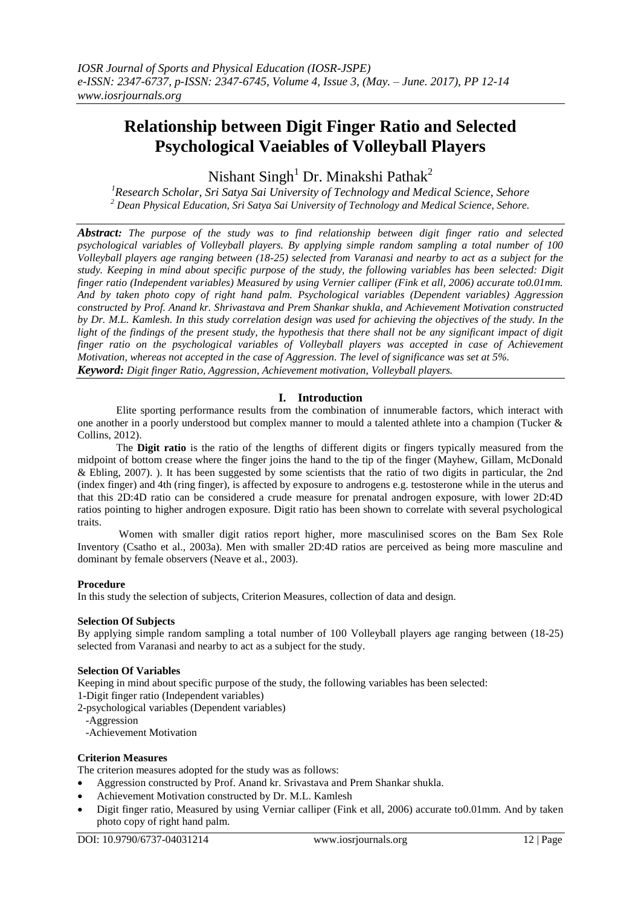# **Relationship between Digit Finger Ratio and Selected Psychological Vaeiables of Volleyball Players**

Nishant Singh<sup>1</sup> Dr. Minakshi Pathak<sup>2</sup>

*<sup>1</sup>Research Scholar, Sri Satya Sai University of Technology and Medical Science, Sehore <sup>2</sup> Dean Physical Education, Sri Satya Sai University of Technology and Medical Science, Sehore.*

*Abstract: The purpose of the study was to find relationship between digit finger ratio and selected psychological variables of Volleyball players. By applying simple random sampling a total number of 100 Volleyball players age ranging between (18-25) selected from Varanasi and nearby to act as a subject for the study. Keeping in mind about specific purpose of the study, the following variables has been selected: Digit finger ratio (Independent variables) Measured by using Vernier calliper (Fink et all, 2006) accurate to0.01mm. And by taken photo copy of right hand palm. Psychological variables (Dependent variables) Aggression constructed by Prof. Anand kr. Shrivastava and Prem Shankar shukla, and Achievement Motivation constructed by Dr. M.L. Kamlesh. In this study correlation design was used for achieving the objectives of the study. In the light of the findings of the present study, the hypothesis that there shall not be any significant impact of digit finger ratio on the psychological variables of Volleyball players was accepted in case of Achievement Motivation, whereas not accepted in the case of Aggression. The level of significance was set at 5%. Keyword: Digit finger Ratio, Aggression, Achievement motivation, Volleyball players.*

# **I. Introduction**

Elite sporting performance results from the combination of innumerable factors, which interact with one another in a poorly understood but complex manner to mould a talented athlete into a champion (Tucker & Collins, 2012).

The **Digit ratio** is the ratio of the lengths of different [digits](http://en.wikipedia.org/wiki/Finger) or fingers typically measured from the midpoint of bottom crease where the finger joins the hand to the tip of the finger (Mayhew, Gillam, McDonald & Ebling, 2007). ). It has been suggested by some scientists that the ratio of two digits in particular, the 2nd [\(index finger\)](http://en.wikipedia.org/wiki/Index_finger) and 4th [\(ring finger\)](http://en.wikipedia.org/wiki/Ring_finger), is affected by exposure to [androgens](http://en.wikipedia.org/wiki/Androgen) e.g. [testosterone](http://en.wikipedia.org/wiki/Testosterone) while in the [uterus](http://en.wikipedia.org/wiki/Uterus) and that this 2D:4D ratio can be considered a crude measure for prenatal androgen exposure, with lower 2D:4D ratios pointing to higher androgen exposure. Digit ratio has been shown to correlate with several psychological traits.

Women with smaller digit ratios report higher, more masculinised scores on the Bam Sex Role Inventory (Csatho et al., 2003a). Men with smaller 2D:4D ratios are perceived as being more masculine and dominant by female observers (Neave et al., 2003).

# **Procedure**

In this study the selection of subjects, Criterion Measures, collection of data and design.

# **Selection Of Subjects**

By applying simple random sampling a total number of 100 Volleyball players age ranging between (18-25) selected from Varanasi and nearby to act as a subject for the study.

#### **Selection Of Variables**

Keeping in mind about specific purpose of the study, the following variables has been selected:

1-Digit finger ratio (Independent variables)

- 2-psychological variables (Dependent variables)
	- -Aggression

-Achievement Motivation

#### **Criterion Measures**

The criterion measures adopted for the study was as follows:

- Aggression constructed by Prof. Anand kr. Srivastava and Prem Shankar shukla.
- Achievement Motivation constructed by Dr. M.L. Kamlesh
- Digit finger ratio, Measured by using Verniar calliper (Fink et all, 2006) accurate to0.01mm. And by taken photo copy of right hand palm.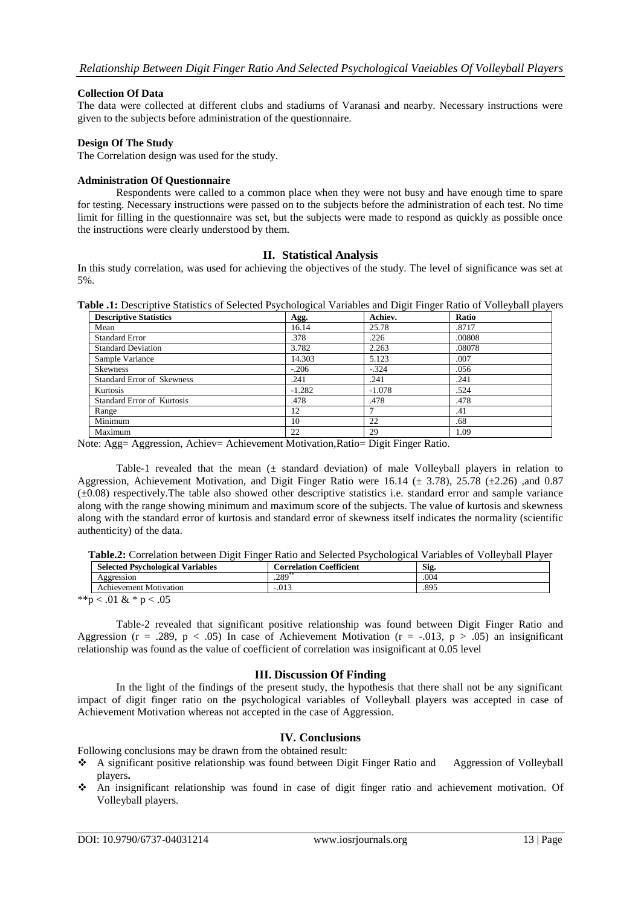#### **Collection Of Data**

The data were collected at different clubs and stadiums of Varanasi and nearby. Necessary instructions were given to the subjects before administration of the questionnaire.

#### **Design Of The Study**

The Correlation design was used for the study.

#### **Administration Of Questionnaire**

Respondents were called to a common place when they were not busy and have enough time to spare for testing. Necessary instructions were passed on to the subjects before the administration of each test. No time limit for filling in the questionnaire was set, but the subjects were made to respond as quickly as possible once the instructions were clearly understood by them.

# **II. Statistical Analysis**

In this study correlation, was used for achieving the objectives of the study. The level of significance was set at 5%.

**Table .1:** Descriptive Statistics of Selected Psychological Variables and Digit Finger Ratio of Volleyball players

| <b>Descriptive Statistics</b>     | Agg.     | Achiev.  | Ratio  |
|-----------------------------------|----------|----------|--------|
| Mean                              | 16.14    | 25.78    | .8717  |
| <b>Standard Error</b>             | .378     | .226     | .00808 |
| <b>Standard Deviation</b>         | 3.782    | 2.263    | .08078 |
| Sample Variance                   | 14.303   | 5.123    | .007   |
| <b>Skewness</b>                   | $-.206$  | $-.324$  | .056   |
| <b>Standard Error of Skewness</b> | .241     | .241     | .241   |
| Kurtosis                          | $-1.282$ | $-1.078$ | .524   |
| <b>Standard Error of Kurtosis</b> | .478     | .478     | .478   |
| Range                             | 12       |          | .41    |
| Minimum                           | 10       | 22       | .68    |
| Maximum                           | 22       | 29       | 0.09   |

Note: Agg= Aggression, Achiev= Achievement Motivation,Ratio= Digit Finger Ratio.

Table-1 revealed that the mean  $(\pm$  standard deviation) of male Volleyball players in relation to Aggression, Achievement Motivation, and Digit Finger Ratio were 16.14 ( $\pm$  3.78), 25.78 ( $\pm$ 2.26) ,and 0.87  $(\pm 0.08)$  respectively. The table also showed other descriptive statistics i.e. standard error and sample variance along with the range showing minimum and maximum score of the subjects. The value of kurtosis and skewness along with the standard error of kurtosis and standard error of skewness itself indicates the normality (scientific authenticity) of the data.

| Table.2: Correlation between Digit Finger Ratio and Selected Psychological Variables of Volleyball Player |                                           |  |
|-----------------------------------------------------------------------------------------------------------|-------------------------------------------|--|
|                                                                                                           | $\sim$ $\sim$ $\sim$ $\sim$ $\sim$ $\sim$ |  |

| <b>Selected Psychological Variables</b> | <b>Correlation Coefficient</b> | Sig. |
|-----------------------------------------|--------------------------------|------|
| Aggression                              | $.289$ <sup>2</sup>            | .004 |
| Achievement Motivation                  | $-.013$                        | .895 |
| $*$ $*$ $\sim$ 0.1 0 $*$ $\sim$ 0.5     |                                |      |

\*\*p < .01 & \* p < .05

Table-2 revealed that significant positive relationship was found between Digit Finger Ratio and Aggression ( $r = .289$ ,  $p < .05$ ) In case of Achievement Motivation ( $r = .013$ ,  $p > .05$ ) an insignificant relationship was found as the value of coefficient of correlation was insignificant at 0.05 level

#### **III. Discussion Of Finding**

In the light of the findings of the present study, the hypothesis that there shall not be any significant impact of digit finger ratio on the psychological variables of Volleyball players was accepted in case of Achievement Motivation whereas not accepted in the case of Aggression.

# **IV. Conclusions**

Following conclusions may be drawn from the obtained result:

- A significant positive relationship was found between Digit Finger Ratio and Aggression of Volleyball players**.**
- An insignificant relationship was found in case of digit finger ratio and achievement motivation. Of Volleyball players.